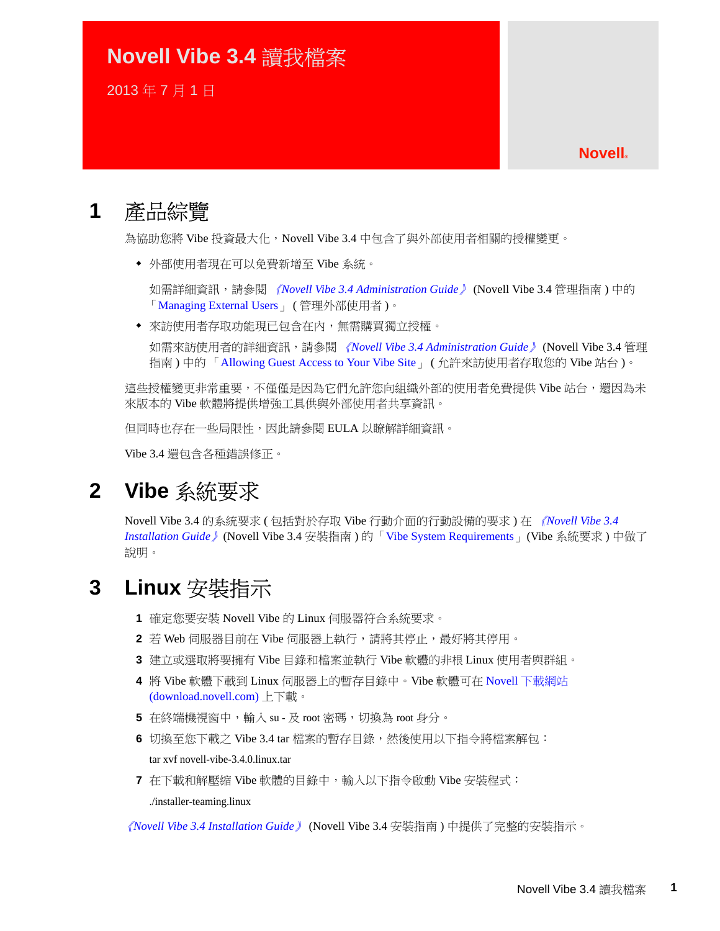# **Novell Vibe 3.4** 讀我檔案

2013 年 7 月 1 日

#### **Novell®**

# **1** 產品綜覽

為協助您將 Vibe 投資最大化,Novell Vibe 3.4 中包含了與外部使用者相關的授權變更。

! 外部使用者現在可以免費新增至 Vibe 系統。

如需詳細資訊,請參閱 《*Novell Vibe 3.4 Administration Guide*》 (Novell Vibe 3.4 管理指南 ) 中的 「Managing External Users」 ( 管理外部使用者 )。

◆ 來訪使用者存取功能現已包含在內,無需購買獨立授權。

如需來訪使用者的詳細資訊,請參閱 《*Novell Vibe 3.4 Administration Guide*》 (Novell Vibe 3.4 管理 指南)中的「 Allowing Guest Access to Your Vibe Site 」 (允許來訪使用者存取您的 Vibe 站台)。

這些授權變更非常重要,不僅僅是因為它們允許您向組織外部的使用者免費提供 Vibe 站台,還因為未 來版本的 Vibe 軟體將提供增強工具供與外部使用者共享資訊。

但同時也存在一些局限性,因此請參閱 EULA 以瞭解詳細資訊。

Vibe 3.4 還包含各種錯誤修正。

# **2 Vibe** 系統要求

Novell Vibe 3.4 的系統要求 ( 包括對於存取 Vibe 行動介面的行動設備的要求 ) 在 《*Novell Vibe 3.4 Installation Guide*》(Novell Vibe 3.4 安裝指南 ) 的「Vibe System Requirements」(Vibe 系統要求 ) 中做了 說明。

# **3 Linux** 安裝指示

- **1** 確定您要安裝 Novell Vibe 的 Linux 伺服器符合系統要求。
- 2 若 Web 伺服器目前在 Vibe 伺服器上執行,請將其停止,最好將其停用。
- **3** 建立或選取將要擁有 Vibe 目錄和檔案並執行 Vibe 軟體的非根 Linux 使用者與群組。
- **4** 將 Vibe 軟體下載到 Linux 伺服器上的暫存目錄中。Vibe 軟體可在 Novell [下載網站](download.novell.com) (download.novell.com) 上下載。
- 5 在終端機視窗中,輸入 su 及 root 密碼, 切換為 root 身分。
- **6** 切換至您下載之 Vibe 3.4 tar 檔案的暫存目錄,然後使用以下指令將檔案解包︰ tar xvf novell-vibe-3.4.0.linux.tar
- 7 在下載和解壓縮 Vibe 軟體的目錄中,輸入以下指令啟動 Vibe 安裝程式: ./installer-teaming.linux

《*Novell Vibe 3.4 Installation Guide*》 (Novell Vibe 3.4 安裝指南 ) 中提供了完整的安裝指示。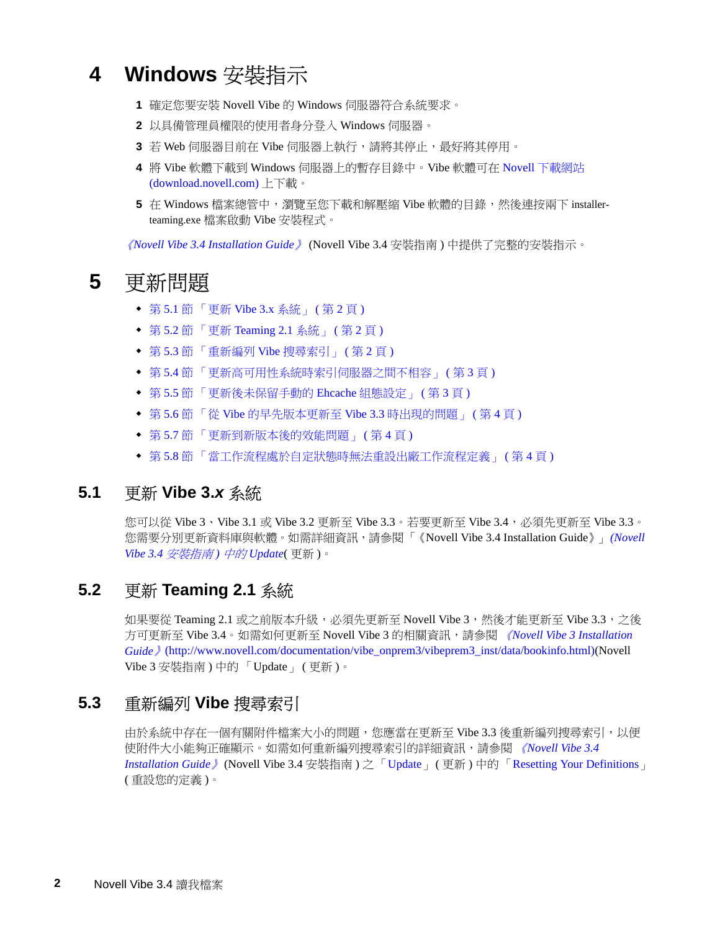# **4 Windows** 安裝指示

- **1** 確定您要安裝 Novell Vibe 的 Windows 伺服器符合系統要求。
- **2** 以具備管理員權限的使用者身分登入 Windows 伺服器。
- 3 若 Web 伺服器目前在 Vibe 伺服器上執行,請將其停止,最好將其停用。
- **4** 將 Vibe 軟體下載到 Windows 伺服器上的暫存目錄中。Vibe 軟體可在 Novell [下載網站](download.novell.com) (download.novell.com) 上下載。
- **5** 在 Windows 檔案總管中,瀏覽至您下載和解壓縮 Vibe 軟體的目錄,然後連按兩下 installerteaming.exe 檔案啟動 Vibe 安裝程式。

《*Novell Vibe 3.4 Installation Guide*》 (Novell Vibe 3.4 安裝指南 ) 中提供了完整的安裝指示。

# **5** 更新問題

- ! 第 5.1 [節 「更新](#page-1-0) Vibe 3.x 系統」 ( 第 2 頁 )
- ! 第 5.2 節 「更新 [Teaming 2.1](#page-1-1) 系統」 ( 第 2 頁 )
- ◆ 第 5.3 [節 「重新編列](#page-1-2) Vibe 搜尋索引」 (第 2 頁)
- ◆ 第 5.4 [節 「更新高可用性系統時索引伺服器之間不相容」](#page-2-0)(第 3 頁 )
- ◆ 第 5.5 [節 「更新後未](#page-2-1)保留手動的 Ehcache 組態設定」 ( 第 3 頁 )
- ! 第 5.6 節 「從 Vibe 的早先版本更新至 Vibe 3.3 時出[現的問題」](#page-3-0) ( 第 4 頁 )
- ! 第 5.7 [節 「更新到新版本後的](#page-3-1)效能問題」 ( 第 4 頁 )
- ◆ 第 5.8 [節 「](#page-3-2)當工作流程處於自定狀態時無法重設出廠工作流程定義 」(第 4 頁 )

## <span id="page-1-0"></span>**5.1** 更新 **Vibe 3.***x* 系統

您可以從 Vibe 3、Vibe 3.1 或 Vibe 3.2 更新至 Vibe 3.3。若要更新至 Vibe 3.4,必須先更新至 Vibe 3.3。 您需要分別更新資料庫與軟體。如需詳細資訊,請參閱「《Novell Vibe 3.4 Installation Guide》」*(Novell Vibe 3.4* 安裝指南 *)* 中的 *Update*( 更新 )。

## <span id="page-1-1"></span>**5.2** 更新 **Teaming 2.1** 系統

如果要從 Teaming 2.1 或之前版本升級,必須先更新至 Novell Vibe 3,然後才能更新至 Vibe 3.3,之後 方可更新至 Vibe 3.4。如需如何更新至 Novell Vibe 3 的相關資訊,請參閱 《*[Novell Vibe 3 Installation](http://www.novell.com/documentation/vibe_onprem3/vibeprem3_inst/data/bookinfo.html)  [Guide](http://www.novell.com/documentation/vibe_onprem3/vibeprem3_inst/data/bookinfo.html)*》 (http://www.novell.com/documentation/vibe\_onprem3/vibeprem3\_inst/data/bookinfo.html)(Novell Vibe 3 安裝指南 ) 中的 「Update」 ( 更新 )。

## <span id="page-1-2"></span>**5.3** 重新編列 **Vibe** 搜尋索引

由於系統中存在一個有關附件檔案大小的問題,您應當在更新至 Vibe 3.3 後重新編列搜尋索引,以便 使附件大小能夠正確顯示。如需如何重新編列搜尋索引的詳細資訊,請參閱 《*Novell Vibe 3.4 Installation Guide*》(Novell Vibe 3.4 安裝指南 ) 之 「Update」 ( 更新 ) 中的「Resetting Your Definitions」 ( 重設您的定義 )。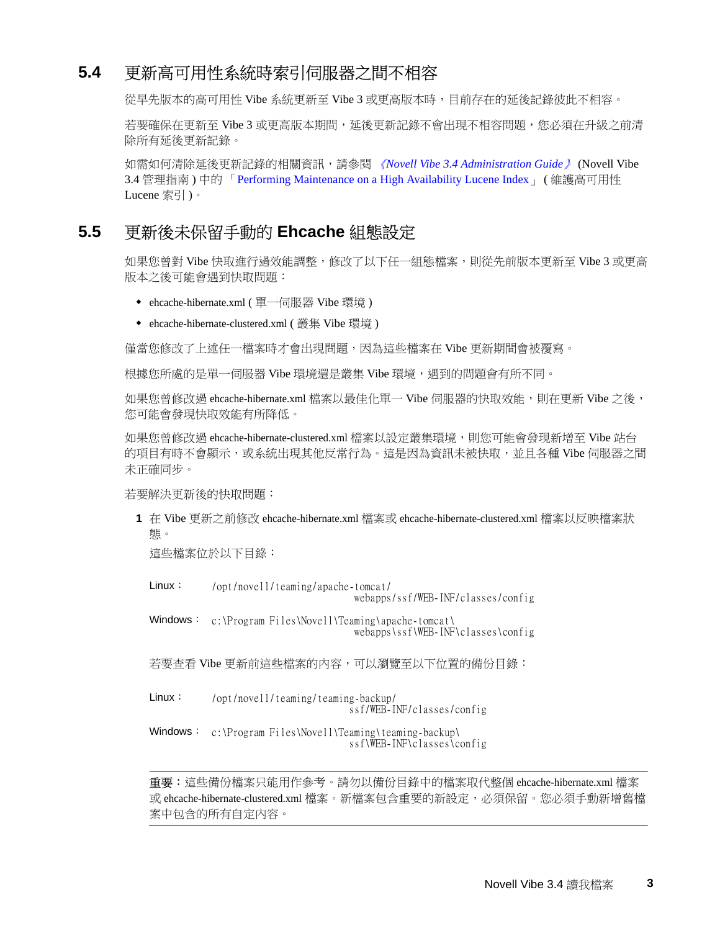# <span id="page-2-0"></span>**5.4** 更新高可用性系統時索引伺服器之間不相容

從早先版本的高可用性 Vibe 系統更新至 Vibe 3 或更高版本時,目前存在的延後記錄彼此不相容。

若要確保在更新至 Vibe 3 或更高版本期間,延後更新記錄不會出現不相容問題,您必須在升級之前清 除所有延後更新記錄。

如需如何清除延後更新記錄的相關資訊,請參閱 《*Novell Vibe 3.4 Administration Guide*》 (Novell Vibe 3.4 管理指南 ) 中的 「Performing Maintenance on a High Availability Lucene Index」 ( 維護高可用性 Lucene 索引 )。

### <span id="page-2-1"></span>**5.5** 更新後未保留手動的 **Ehcache** 組態設定

如果您曾對 Vibe 快取進行過效能調整,修改了以下任一組態檔案,則從先前版本更新至 Vibe 3 或更高 版本之後可能會遇到快取問題:

- ! ehcache-hibernate.xml ( 單一伺服器 Vibe 環境 )
- ! ehcache-hibernate-clustered.xml ( 叢集 Vibe 環境 )

僅當您修改了上述任一檔案時才會出現問題,因為這些檔案在 Vibe 更新期間會被覆寫。

根據您所處的是單一伺服器 Vibe 環境還是叢集 Vibe 環境,遇到的問題會有所不同。

如果您曾修改過 ehcache-hibernate.xml 檔案以最佳化單一 Vibe 伺服器的快取效能,則在更新 Vibe 之後, 您可能會發現快取效能有所降低。

如果您曾修改過 ehcache-hibernate-clustered.xml 檔案以設定叢集環境,則您可能會發現新增至 Vibe 站台 的項目有時不會顯示,或系統出現其他反常行為。這是因為資訊未被快取,並且各種 Vibe 伺服器之間 未正確同步。

若要解決更新後的快取問題:

**1** 在 Vibe 更新之前修改 ehcache-hibernate.xml 檔案或 ehcache-hibernate-clustered.xml 檔案以反映檔案狀 態。

這些檔案位於以下目錄:

Linux: /opt/novell/teaming/apache-tomcat/ webapps/ssf/WEB-INF/classes/config

Windows: c:\Program Files\Novell\Teaming\apache-tomcat\ webapps\ssf\WEB-INF\classes\config

若要杳看 Vibe 更新前這些檔案的內容,可以瀏覽至以下位置的備份目錄:

- Linux: /opt/novell/teaming/teaming-backup/ ssf/WEB-INF/classes/config
- Windows: c:\Program Files\Novell\Teaming\teaming-backup\ ssf\WEB-INF\classes\config

重要:這些備份檔案只能用作參考。請勿以備份目錄中的檔案取代整個 ehcache-hibernate.xml 檔案 或 ehcache-hibernate-clustered.xml 檔案。新檔案包含重要的新設定,必須保留。您必須手動新增舊檔 案中包含的所有自定內容。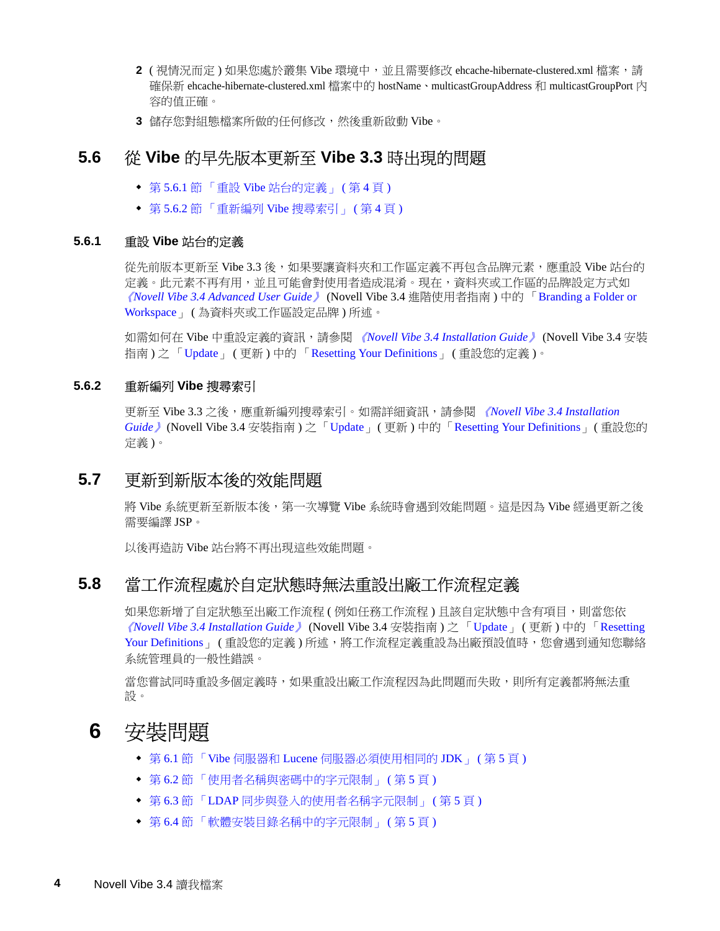- 2 ( 視情況而定 ) 如果您處於叢集 Vibe 環境中, 並且需要修改 ehcache-hibernate-clustered.xml 檔案, 請 確保新 ehcache-hibernate-clustered.xml 檔案中的 hostName、multicastGroupAddress 和 multicastGroupPort 內 容的值正確。
- **3** 儲存您對組態檔案所做的任何修改,然後重新啟動 Vibe。

# <span id="page-3-0"></span>**5.6** 從 **Vibe** 的早先版本更新至 **Vibe 3.3** 時出現的問題

- ! 第 5.6.1 [節 「重設](#page-3-3) Vibe 站台的定義」 ( 第 4 頁 )
- ◆ 第 5.6.2 節 「 重新編列 Vibe 搜尋索引」 ( 第 4 頁 )

#### <span id="page-3-3"></span>**5.6.1** 重設 **Vibe** 站台的定義

從先前版本更新至 Vibe 3.3 後,如果要讓資料夾和工作區定義不再包含品牌元素,應重設 Vibe 站台的 定義。此元素不再有用,並且可能會對使用者造成混淆。現在,資料夾或工作區的品牌設定方式如 《*Novell Vibe 3.4 Advanced User Guide*》 (Novell Vibe 3.4 進階使用者指南 ) 中的 「Branding a Folder or Workspace」 ( 為資料夾或工作區設定品牌 ) 所述。

如需如何在 Vibe 中重設定義的資訊,請參閱 《*Novell Vibe 3.4 Installation Guide*》 (Novell Vibe 3.4 安裝 指南 ) 之 「Update」 ( 更新 ) 中的 「Resetting Your Definitions」 ( 重設您的定義 )。

#### <span id="page-3-4"></span>**5.6.2** 重新編列 **Vibe** 搜尋索引

更新至 Vibe 3.3 之後,應重新編列搜尋索引。如需詳細資訊,請參閱 《*Novell Vibe 3.4 Installation Guide*》(Novell Vibe 3.4 安裝指南 ) 之「Update」( 更新 ) 中的「Resetting Your Definitions」( 重設您的 定義 )。

### <span id="page-3-1"></span>**5.7** 更新到新版本後的效能問題

將 Vibe 系統更新至新版本後,第一次導覽 Vibe 系統時會遇到效能問題。這是因為 Vibe 經過更新之後 需要編譯 JSP。

以後再造訪 Vibe 站台將不再出現這些效能問題。

## <span id="page-3-2"></span>**5.8** 當工作流程處於自定狀態時無法重設出廠工作流程定義

如果您新增了自定狀態至出廠工作流程 ( 例如任務工作流程 ) 且該自定狀態中含有項目,則當您依 《*Novell Vibe 3.4 Installation Guide*》 (Novell Vibe 3.4 安裝指南 ) 之 「Update」 ( 更新 ) 中的 「Resetting Your Definitions」 ( 重設您的定義 ) 所述,將工作流程定義重設為出廠預設值時,您會遇到通知您聯絡 系統管理員的一般性錯誤。

當您嘗試同時重設多個定義時,如果重設出廠工作流程因為此問題而失敗,則所有定義都將無法重 設。

# **6** 安裝問題

- ◆ 第 6.1 節 「Vibe 伺服器和 Lucene 伺服器必須[使用相同的](#page-4-0) JDK」 (第 5 頁)
- ! 第 6.2 [節 「使用者](#page-4-1)名稱與密碼中的字元限制」 ( 第 5 頁 )
- ◆ 第 6.3 節 「LDAP 同步[與登入的使用者](#page-4-2)名稱字元限制」 (第5頁)
- ! 第 6.4 [節 「軟體安裝目錄](#page-4-3)名稱中的字元限制」 ( 第 5 頁 )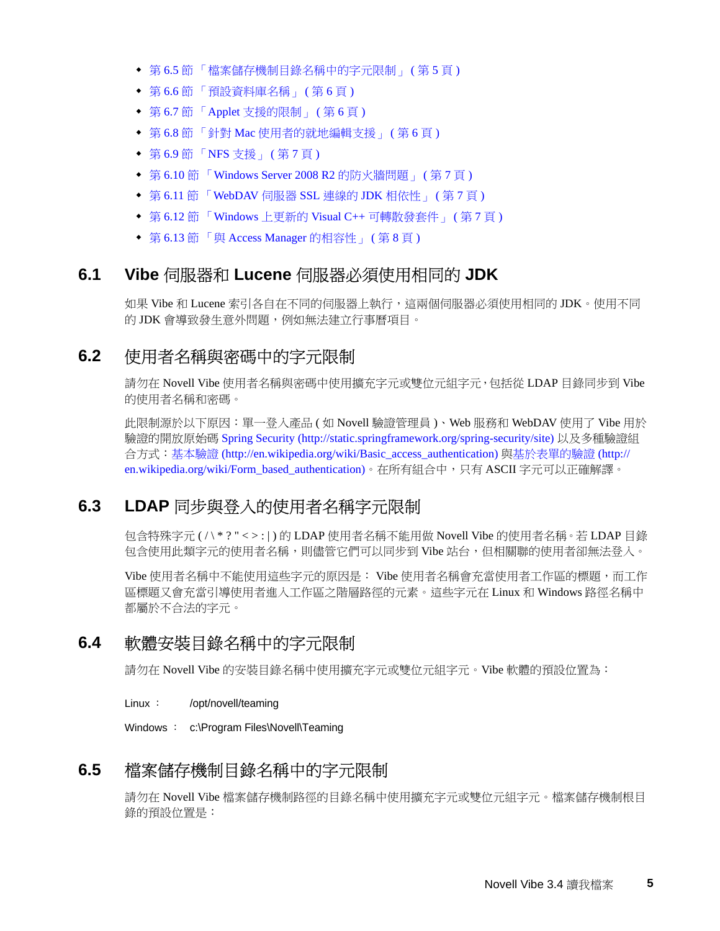- ! 第 6.5 [節 「檔案](#page-4-4)儲存機制目錄名稱中的字元限制」 ( 第 5 頁 )
- ! 第 6.6 節 「預設資[料庫名稱](#page-5-0)」 ( 第 6 頁 )
- 第 6.7 節 「[Applet](#page-5-1) 支援的限制」 ( 第 6 頁 )
- ! 第 6.8 節 「針對 Mac [使用者的](#page-5-2)就地編輯支援」 ( 第 6 頁 )
- ◆ 第 6.9 [節 「](#page-6-0)NFS 支援」 (第7頁)
- ◆ 第 6.10 節 「[Windows Server 2008 R2](#page-6-1) 的防火牆問題」 (第7頁)
- ◆ 第 6.11 節 「[WebDAV](#page-6-2) 伺服器 SSL 連線的 JDK 相依性」 (第7頁)
- ◆ 第 6.12 節 「Windows 上更新的 [Visual C++](#page-6-3) 可轉散發套件」 ( 第 7 頁 )
- ! 第 6.13 節 「與 [Access Manager](#page-7-0) 的相容性」 ( 第 8 頁 )

### <span id="page-4-0"></span>**6.1 Vibe** 伺服器和 **Lucene** 伺服器必須使用相同的 **JDK**

如果 Vibe 和 Lucene 索引各自在不同的伺服器上執行,這兩個伺服器必須使用相同的 JDK。使用不同 的 JDK 會導致發生意外問題,例如無法建立行事曆項目。

## <span id="page-4-1"></span>**6.2** 使用者名稱與密碼中的字元限制

請勿在 Novell Vibe 使用者名稱與密碼中使用擴充字元或雙位元組字元,包括從 LDAP 目錄同步到 Vibe 的使用者名稱和密碼。

此限制源於以下原因︰單一登入產品 ( 如 Novell 驗證管理員 )、Web 服務和 WebDAV 使用了 Vibe 用於 驗證的開放原始碼 [Spring Security](http://static.springframework.org/spring-security/site) (http://static.springframework.org/spring-security/site) 以及多種驗證組 合方式︰基本[驗證](http://en.wikipedia.org/wiki/Basic_access_authentication) (http://en.wikipedia.org/wiki/Basic\_access\_authentication) 與基於[表單](http://en.wikipedia.org/wiki/Form_based_authentication)的驗證 (http:// en.wikipedia.org/wiki/Form\_based\_authentication)。在所有組合中,只有 ASCII 字元可以正確解譯。

# <span id="page-4-2"></span>**6.3 LDAP** 同步與登入的使用者名稱字元限制

包含特殊字元 ( / \ \* ? " < > : | ) 的 LDAP 使用者名稱不能用做 Novell Vibe 的使用者名稱。若 LDAP 目錄 包含使用此類字元的使用者名稱,則儘管它們可以同步到 Vibe 站台,但相關聯的使用者卻無法登入。

Vibe 使用者名稱中不能使用這些字元的原因是: Vibe 使用者名稱會充當使用者工作區的標題,而工作 區標題又會充當引導使用者進入工作區之階層路徑的元素。這些字元在 Linux 和 Windows 路徑名稱中 都屬於不合法的字元。

# <span id="page-4-3"></span>**6.4** 軟體安裝目錄名稱中的字元限制

請勿在 Novell Vibe 的安裝目錄名稱中使用擴充字元或雙位元組字元。Vibe 軟體的預設位置為︰

Linux : /opt/novell/teaming

Windows : c:\Program Files\Novell\Teaming

### <span id="page-4-4"></span>**6.5** 檔案儲存機制目錄名稱中的字元限制

請勿在 Novell Vibe 檔案儲存機制路徑的目錄名稱中使用擴充字元或雙位元組字元。檔案儲存機制根目 錄的預設位置是: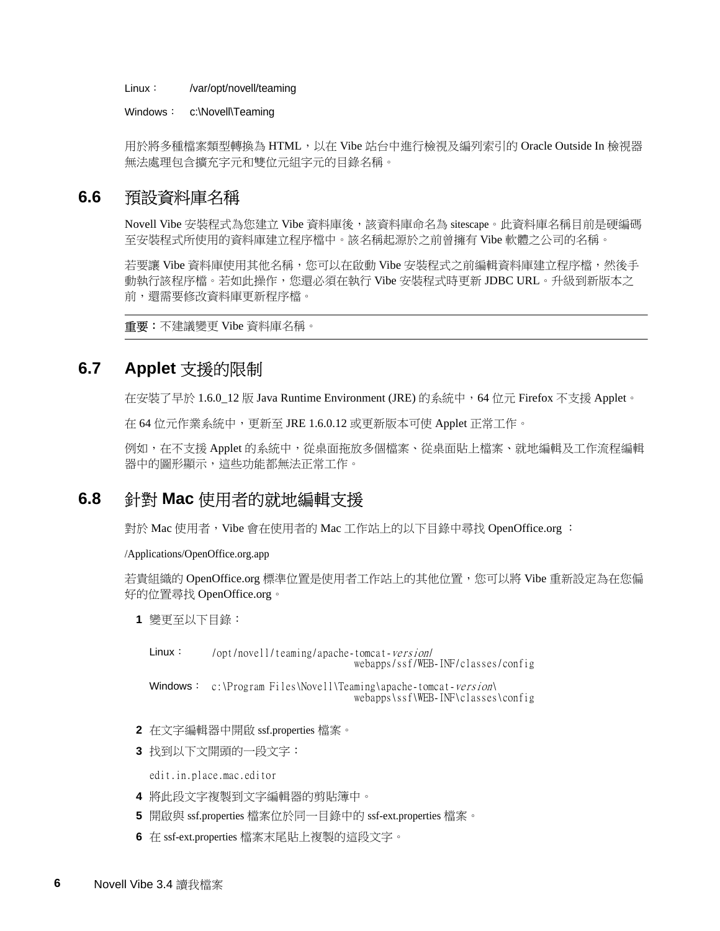Linux: /var/opt/novell/teaming

Windows: c:\Novell\Teaming

用於將多種檔案類型轉換為 HTML,以在 Vibe 站台中進行檢視及編列索引的 Oracle Outside In 檢視器 無法處理包含擴充字元和雙位元組字元的目錄名稱。

### <span id="page-5-0"></span>**6.6** 預設資料庫名稱

Novell Vibe 安裝程式為您建立 Vibe 資料庫後,該資料庫命名為 sitescape。此資料庫名稱目前是硬編碼 至安裝程式所使用的資料庫建立程序檔中。該名稱起源於之前曾擁有 Vibe 軟體之公司的名稱。

若要讓 Vibe 資料庫使用其他名稱,您可以在啟動 Vibe 安裝程式之前編輯資料庫建立程序檔,然後手 動執行該程序檔。若如此操作,您還必須在執行 Vibe 安裝程式時更新 JDBC URL。升級到新版本之 前,還需要修改資料庫更新程序檔。

重要:不建議變更 Vibe 資料庫名稱。

### <span id="page-5-1"></span>**6.7 Applet** 支援的限制

在安裝了早於 1.6.0\_12 版 Java Runtime Environment (JRE) 的系統中,64 位元 Firefox 不支援 Applet。

在 64 位元作業系統中,更新至 JRE 1.6.0.12 或更新版本可使 Applet 正常工作。

例如,在不支援 Applet 的系統中,從桌面拖放多個檔案、從桌面貼上檔案、就地編輯及工作流程編輯 器中的圖形顯示,這些功能都無法正常工作。

## <span id="page-5-2"></span>**6.8** 針對 **Mac** 使用者的就地編輯支援

對於 Mac 使用者, Vibe 會在使用者的 Mac 工作站上的以下目錄中尋找 OpenOffice.org :

/Applications/OpenOffice.org.app

若貴組織的 OpenOffice.org 標準位置是使用者工作站上的其他位置,您可以將 Vibe 重新設定為在您偏 好的位置尋找 OpenOffice.org。

**1** 變更至以下目錄︰

Linux: /opt/novell/teaming/apache-tomcat-version/ webapps/ssf/WEB-INF/classes/config

Windows: c:\Program Files\Novell\Teaming\apache-tomcat-version\ webapps\ssf\WEB-INF\classes\config

- **2** 在文字編輯器中開啟 ssf.properties 檔案。
- **3** 找到以下文開頭的一段文字︰

edit.in.place.mac.editor

- **4** 將此段文字複製到文字編輯器的剪貼簿中。
- **5** 開啟與 ssf.properties 檔案位於同一目錄中的 ssf-ext.properties 檔案。
- **6** 在 ssf-ext.properties 檔案末尾貼上複製的這段文字。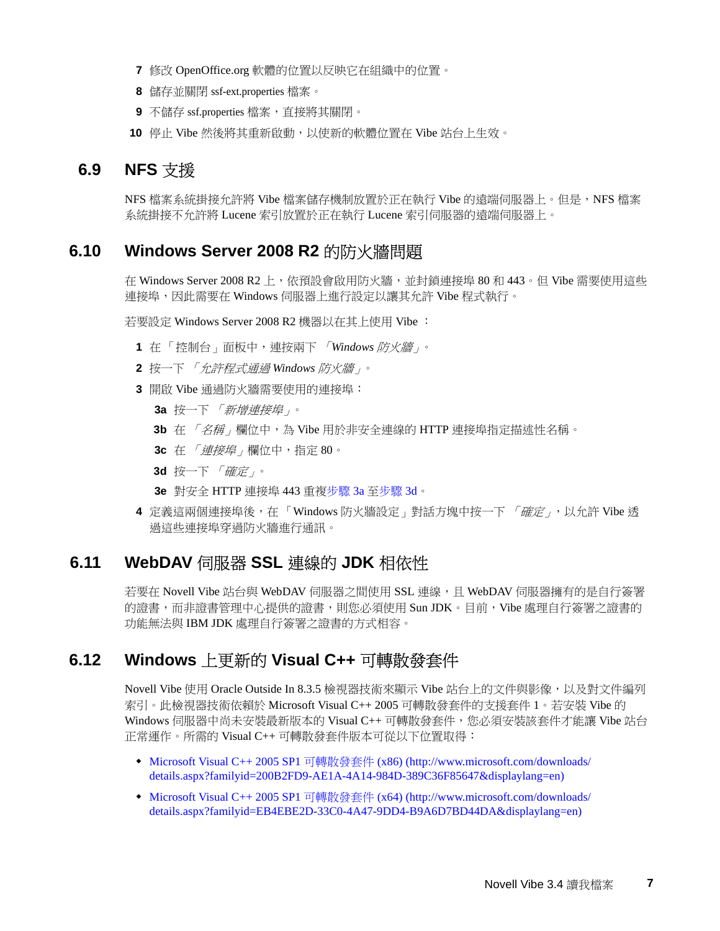- **7** 修改 OpenOffice.org 軟體的位置以反映它在組織中的位置。
- **8** 儲存並關閉 ssf-ext.properties 檔案。
- **9** 不儲存 ssf.properties 檔案,直接將其關閉。
- **10** 停止 Vibe 然後將其重新啟動,以使新的軟體位置在 Vibe 站台上生效。

## <span id="page-6-0"></span>**6.9 NFS** 支援

NFS 檔案系統掛接允許將 Vibe 檔案儲存機制放置於正在執行 Vibe 的遠端伺服器上。但是,NFS 檔案 系統掛接不允許將 Lucene 索引放置於正在執行 Lucene 索引伺服器的遠端伺服器上。

## <span id="page-6-1"></span>**6.10 Windows Server 2008 R2** 的防火牆問題

在 Windows Server 2008 R2 上, 依預設會啟用防火牆,並封鎖連接埠 80 和 443。但 Vibe 需要使用這些 連接埠,因此需要在 Windows 伺服器上進行設定以讓其允許 Vibe 程式執行。

若要設定 Windows Server 2008 R2 機器以在其上使用 Vibe ︰

- **1** 在 「控制台」面板中,連按兩下 「*Windows* 防火牆」。
- **2** 按一下 「允許程式通過 *Windows* 防火牆」。
- <span id="page-6-4"></span>**3** 開啟 Vibe 通過防火牆需要使用的連接埠︰
	- **3a** 按一下 「新增連接埠」。
	- **3b** 在 「名稱」欄位中,為 Vibe 用於非安全連線的 HTTP 連接埠指定描述性名稱。
	- **3c** 在 「連接埠」欄位中,指定 80。
	- **3d** 按一下 「確定」。
	- **3e** 對安全 HTTP 連接埠 443 重複[步驟](#page-6-4) 3a 至[步驟](#page-6-5) 3d。
- <span id="page-6-5"></span>4 定義這兩個連接埠後,在「Windows 防火牆設定」對話方塊中按一下「確定」,以允許 Vibe 透 過這些連接埠穿過防火牆進行通訊。

### <span id="page-6-2"></span>**6.11 WebDAV** 伺服器 **SSL** 連線的 **JDK** 相依性

若要在 Novell Vibe 站台與 WebDAV 伺服器之間使用 SSL 連線,且 WebDAV 伺服器擁有的是自行簽署 的證書,而非證書管理中心提供的證書,則您必須使用 Sun JDK。目前,Vibe 處理自行簽署之證書的 功能無法與 IBM JDK 處理自行簽署之證書的方式相容。

## <span id="page-6-3"></span>**6.12 Windows** 上更新的 **Visual C++** 可轉散發套件

Novell Vibe 使用 Oracle Outside In 8.3.5 檢視器技術來顯示 Vibe 站台上的文件與影像,以及對文件編列 索引。此檢視器技術依賴於 Microsoft Visual C++ 2005 可轉散發套件的支援套件 1。若安裝 Vibe 的 Windows 伺服器中尚未安裝最新版本的 Visual C++ 可轉散發套件,您必須安裝該套件才能讓 Vibe 站台 正常運作。所需的 Visual C++ 可轉散發套件版本可從以下位置取得:

- ! [Microsoft Visual C++ 2005 SP1](http://www.microsoft.com/downloads/details.aspx?familyid=200B2FD9-AE1A-4A14-984D-389C36F85647&displaylang=en) 可轉散發套件 (x86) (http://www.microsoft.com/downloads/ details.aspx?familyid=200B2FD9-AE1A-4A14-984D-389C36F85647&displaylang=en)
- ! [Microsoft Visual C++ 2005 SP1](http://www.microsoft.com/downloads/details.aspx?familyid=EB4EBE2D-33C0-4A47-9DD4-B9A6D7BD44DA&displaylang=en) 可轉散發套件 (x64) (http://www.microsoft.com/downloads/ details.aspx?familyid=EB4EBE2D-33C0-4A47-9DD4-B9A6D7BD44DA&displaylang=en)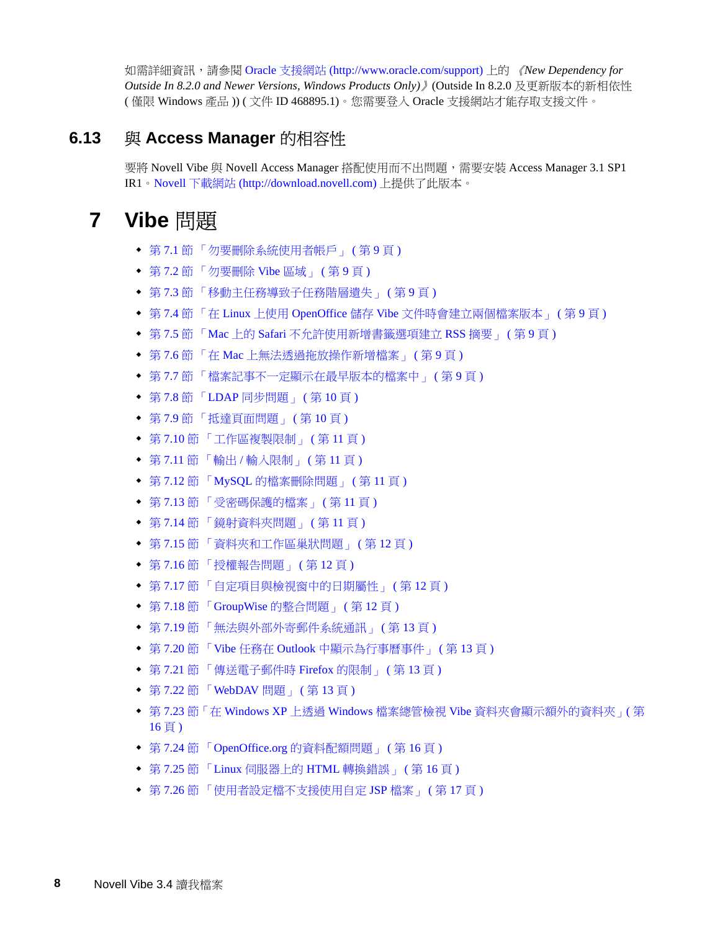如需詳細資訊,請參閱 [Oracle](http://www.oracle.com/support) 支援網站 (http://www.oracle.com/support) 上的 《*New Dependency for Outside In 8.2.0 and Newer Versions, Windows Products Only)*》 (Outside In 8.2.0 及更新版本的新相依性 ( 僅限 Windows 產品 )) ( 文件 ID 468895.1)。您需要登入 Oracle 支援網站才能存取支援文件。

## <span id="page-7-0"></span>**6.13** 與 **Access Manager** 的相容性

要將 Novell Vibe 與 Novell Access Manager 搭配使用而不出問題,需要安裝 Access Manager 3.1 SP1 IR1。Novell [下載網站](http://download.novell.com) (http://download.novell.com) 上提供了此版本。

# **7 Vibe** 問題

- ! 第 7.1 節 「勿要刪除[系統使用者](#page-8-0)帳戶」 ( 第 9 頁 )
- ◆ 第 7.2 節 「勿要刪除 [Vibe](#page-8-1) 區域」 (第 9 頁)
- ! 第 7.3 節 「移動主[任務導致](#page-8-2)子任務階層遺失」 ( 第 9 頁 )
- ! 第 7.4 節 「在 Linux 上使用 [OpenOffice](#page-8-3) 儲存 Vibe 文件時會建立兩個檔案版本」 ( 第 9 頁 )
- ◆ 第 7.5 節 「Mac 上的 Safari [不允許使用新增](#page-8-4)書籤選項建立 RSS 摘要」(第 9 頁)
- ! 第 7.6 節 「在 Mac 上無[法透過拖放操作](#page-8-5)新增檔案」 ( 第 9 頁 )
- ◆ 第 7.7 節 「檔案記事不一定顯示在最早[版本的檔案中」](#page-8-6) (第9頁)
- ◆ 第 7.8 節 「LDAP 同步[問題」](#page-9-0) (第10頁)
- ◆ 第 7.9 節 「抵達[頁面問題」](#page-9-1)(第 10 頁)
- ! 第 7.10 節 「工[作區複製](#page-10-0)限制」 ( 第 11 頁 )
- ◆ 第 7.11 [節 「輸](#page-10-1)出 / 輸入限制」 (第11頁)
- ◆ 第 7.12 節 「[MySQL](#page-10-2) 的檔案刪除問題」 ( 第 11 頁 )
- ◆ 第 7.13 節 「受密碼保護[的檔案」](#page-10-3) ( 第 11 頁 )
- ◆ 第 7.14 節 「鏡射資料夾[問題」](#page-10-4) (第11頁)
- ! 第 7.15 [節 「資](#page-11-0)料夾和工作區巢狀問題」 ( 第 12 頁 )
- ◆ 第 7.16 節 「 授權報告問題」 ( 第 12 頁 )
- ! 第 7.17 節 「自定項目與檢[視窗中的日](#page-11-2)期屬性」 ( 第 12 頁 )
- ◆ 第 7.18 節 「GroupWise [的整合問題」](#page-11-3) (第12頁)
- ! 第 7.19 節 「無法[與外部外](#page-12-0)寄郵件系統通訊」 ( 第 13 頁 )
- ◆ 第 7.20 節 「 Vibe 任務在 Outlook 中顯示為行[事曆事件](#page-12-1)」 (第13頁)
- ◆ 第 7.21 節 「 [傳送電子郵](#page-12-2)件時 Firefox 的限制 」 ( 第 13 頁 )
- 第 7.22 節 「[WebDAV](#page-12-3) 問題」 (第13頁)
- ! 第 7.23 節「在 [Windows XP](#page-15-0) 上透過 Windows 檔案總管檢視 Vibe 資料夾會顯示額外的資料夾」( 第 [16](#page-15-0) 頁 )
- ◆ 第 7.24 節 「[OpenOffice.org](#page-15-1) 的資料配額問題」 (第 16 頁)
- ! 第 7.25 節 「Linux [伺服器上的](#page-15-2) HTML 轉換錯誤」 ( 第 16 頁 )
- ◆ 第 7.26 [節 「使用者設定檔不](#page-16-0)支援使用自定 JSP 檔案 」 ( 第 17 頁 )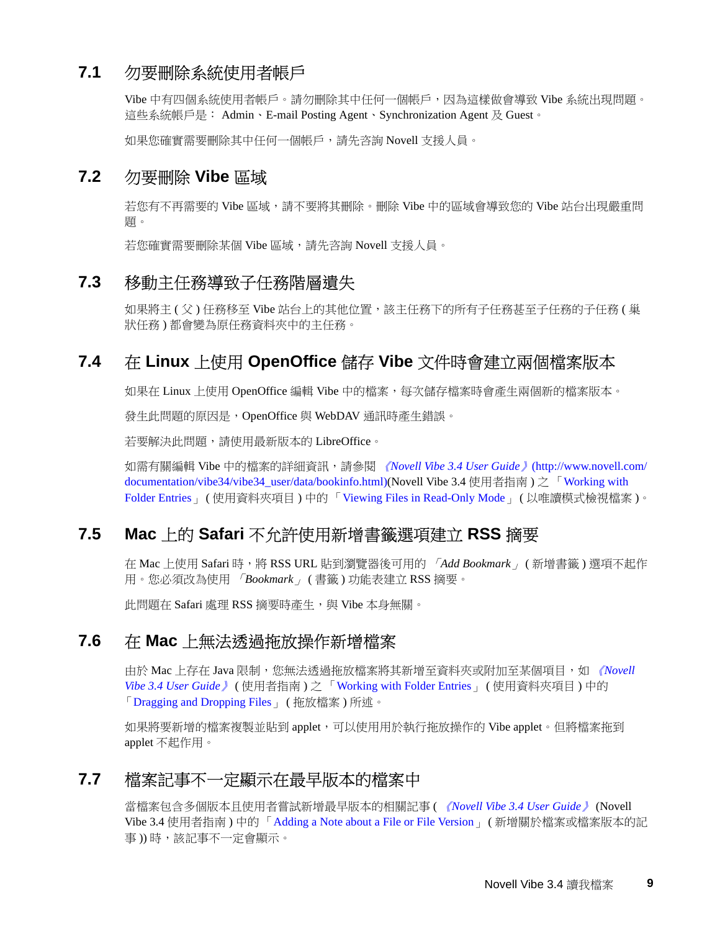## <span id="page-8-0"></span>**7.1** 勿要刪除系統使用者帳戶

Vibe 中有四個系統使用者帳戶。請勿刪除其中任何一個帳戶,因為這樣做會導致 Vibe 系統出現問題。 這些系統帳戶是: Admin、E-mail Posting Agent、Synchronization Agent 及 Guest。

如果您確實需要刪除其中任何一個帳戶,請先咨詢 Novell 支援人員。

## <span id="page-8-1"></span>**7.2** 勿要刪除 **Vibe** 區域

若您有不再需要的 Vibe 區域,請不要將其刪除。刪除 Vibe 中的區域會導致您的 Vibe 站台出現嚴重問 題。

若您確實需要刪除某個 Vibe 區域,請先咨詢 Novell 支援人員。

## <span id="page-8-2"></span>**7.3** 移動主任務導致子任務階層遺失

如果將主 ( 父 ) 任務移至 Vibe 站台上的其他位置,該主任務下的所有子任務甚至子任務的子任務 ( 巢 狀任務 ) 都會變為原任務資料夾中的主任務。

## <span id="page-8-3"></span>**7.4** 在 **Linux** 上使用 **OpenOffice** 儲存 **Vibe** 文件時會建立兩個檔案版本

如果在 Linux 上使用 OpenOffice 編輯 Vibe 中的檔案,每次儲存檔案時會產生兩個新的檔案版本。

發生此問題的原因是,OpenOffice 與 WebDAV 通訊時產生錯誤。

若要解決此問題,請使用最新版本的 LibreOffice。

如需有關編輯 Vibe 中的檔案的詳細資訊,請參閱 《*[Novell Vibe 3.4 User Guide](http://www.novell.com/documentation/vibe34/vibe34_user/data/bookinfo.html)*》 (http://www.novell.com/ documentation/vibe34/vibe34\_user/data/bookinfo.html)(Novell Vibe 3.4 使用者指南 ) 之 「Working with Folder Entries」 ( 使用資料夾項目 ) 中的 「Viewing Files in Read-Only Mode」 ( 以唯讀模式檢視檔案 )。

## <span id="page-8-4"></span>**7.5 Mac** 上的 **Safari** 不允許使用新增書籤選項建立 **RSS** 摘要

在 Mac 上使用 Safari 時,將 RSS URL 貼到瀏覽器後可用的 「*Add Bookmark*」 ( 新增書籤 ) 選項不起作 用。您必須改為使用 「*Bookmark*」 ( 書籤 ) 功能表建立 RSS 摘要。

此問題在 Safari 處理 RSS 摘要時產牛, 與 Vibe 本身無關。

### <span id="page-8-5"></span>**7.6** 在 **Mac** 上無法透過拖放操作新增檔案

由於 Mac 上存在 Java 限制,您無法透過拖放檔案將其新增至資料夾或附加至某個項目,如 *《Novell Vibe 3.4 User Guide*》 ( 使用者指南 ) 之 「Working with Folder Entries」 ( 使用資料夾項目 ) 中的 「Dragging and Dropping Files」 ( 拖放檔案 ) 所述。

如果將要新增的檔案複製並貼到 applet,可以使用用於執行拖放操作的 Vibe applet。但將檔案拖到 applet 不起作用。

## <span id="page-8-6"></span>**7.7** 檔案記事不一定顯示在最早版本的檔案中

當檔案包含多個版本且使用者嘗試新增最早版本的相關記事 ( 《*Novell Vibe 3.4 User Guide*》 (Novell Vibe 3.4 使用者指南 ) 中的 「Adding a Note about a File or File Version」 ( 新增關於檔案或檔案版本的記 事 )) 時,該記事不一定會顯示。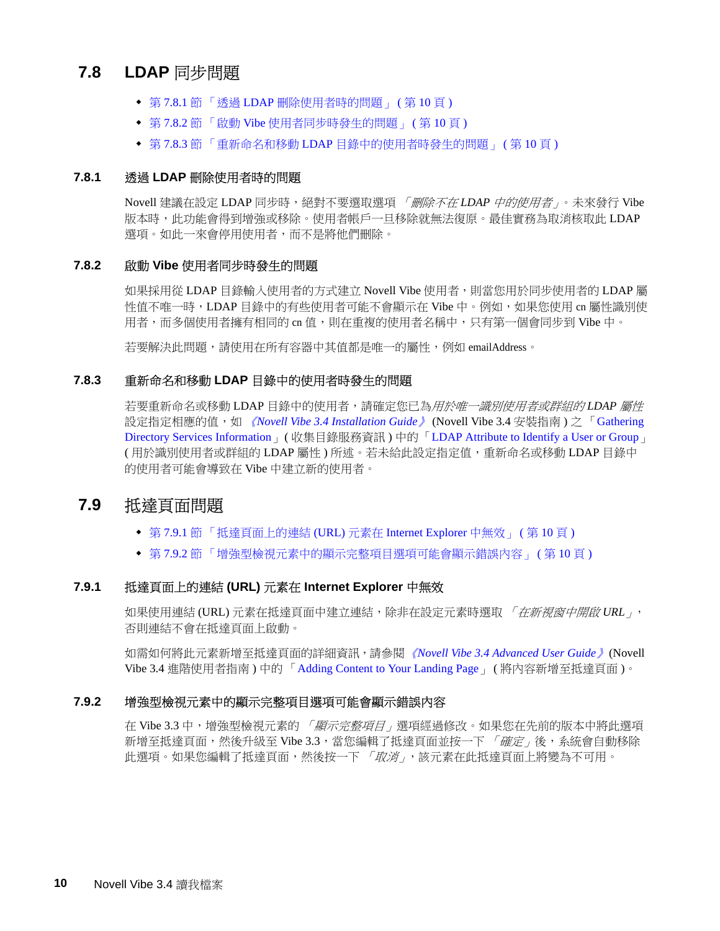## <span id="page-9-0"></span>**7.8 LDAP** 同步問題

- ◆ 第 7.8.1 節 「透過 LDAP 刪除[使用者時的問題」](#page-9-2) (第10頁)
- ! 第 7.8.2 [節 「啟動](#page-9-3) Vibe 使用者同步時發生的問題」 ( 第 10 頁 )
- ◆ 第 7.8.3 節 「重新命名和移動 LDAP [目錄中的使用者時](#page-9-4)發生的問題」 (第10頁)

#### <span id="page-9-2"></span>**7.8.1** 透過 **LDAP** 刪除使用者時的問題

Novell 建議在設定 LDAP 同步時,絕對不要選取選項 「刪除不在 *LDAP* 中的使用者」。未來發行 Vibe 版本時,此功能會得到增強或移除。使用者帳戶一旦移除就無法復原。最佳實務為取消核取此 LDAP 選項。如此一來會停用使用者,而不是將他們刪除。

#### <span id="page-9-3"></span>**7.8.2** 啟動 **Vibe** 使用者同步時發生的問題

如果採用從 LDAP 目錄輸入使用者的方式建立 Novell Vibe 使用者, 則當您用於同步使用者的 LDAP 屬 性值不唯一時,LDAP 目錄中的有些使用者可能不會顯示在 Vibe 中。例如,如果您使用 cn 屬性識別使 用者,而多個使用者擁有相同的 cn 值,則在重複的使用者名稱中,只有第一個會同步到 Vibe 中。

若要解決此問題,請使用在所有容器中其值都是唯一的屬性,例如 emailAddress。

#### <span id="page-9-4"></span>**7.8.3** 重新命名和移動 **LDAP** 目錄中的使用者時發生的問題

若要重新命名或移動 LDAP 目錄中的使用者,請確定您已為用於唯一識別使用者或群組的 *LDAP* 屬性 設定指定相應的值,如 《*Novell Vibe 3.4 Installation Guide*》 (Novell Vibe 3.4 安裝指南 ) 之 「Gathering Directory Services Information」( 收集目錄服務資訊 ) 中的「LDAP Attribute to Identify a User or Group」 ( 用於識別使用者或群組的 LDAP 屬性 ) 所述。若未給此設定指定值,重新命名或移動 LDAP 目錄中 的使用者可能會導致在 Vibe 中建立新的使用者。

## <span id="page-9-1"></span>**7.9** 抵達頁面問題

- ◆ 第 7.9.1 節 「 抵達頁面上的連結 (URL) 元素在 [Internet Explorer](#page-9-5) 中無效」 ( 第 10 頁 )
- ◆ 第 7.9.2 節 「 增強型檢視元素中的顯示完整項目選項可能會顯示錯誤內容 」 ( 第 10 頁 )

#### <span id="page-9-5"></span>**7.9.1** 抵達頁面上的連結 **(URL)** 元素在 **Internet Explorer** 中無效

如果使用連結 (URL) 元素在抵達頁面中建立連結,除非在設定元素時選取 *「在新視窗中開啟 URL <sub>」</sub>*, 否則連結不會在抵達頁面上啟動。

如需如何將此元素新增至抵達頁面的詳細資訊,請參閱《*Novell Vibe 3.4 Advanced User Guide*》(Novell Vibe 3.4 進階使用者指南 ) 中的 「Adding Content to Your Landing Page」 ( 將內容新增至抵達頁面 )。

#### <span id="page-9-6"></span>**7.9.2** 增強型檢視元素中的顯示完整項目選項可能會顯示錯誤內容

在 Vibe 3.3 中, 增強型檢視元素的 「*顯示完整項目*, 選項經過修改。如果您在先前的版本中將此選項 新增至扺達頁面,然後升級至 Vibe 3.3,當您編輯了扺達頁面並按一下 *「確定﹔*後,系統會自動移除 此選項。如果您編輯了抵達頁面,然後按一下 「*取消」*, 該元素在此抵達頁面上將變為不可用。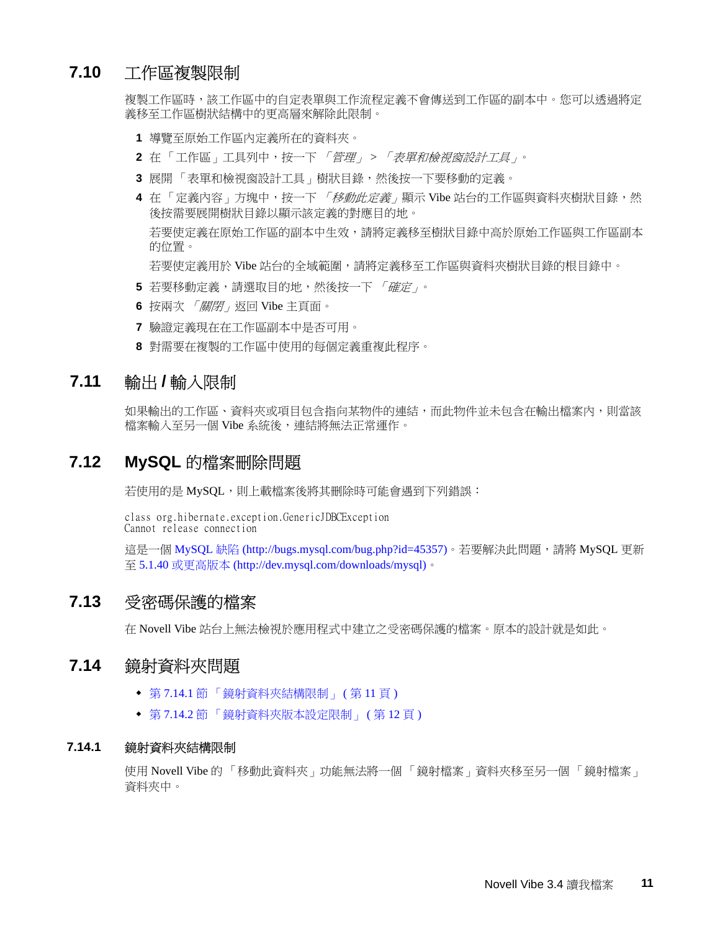# <span id="page-10-0"></span>**7.10** 工作區複製限制

複製工作區時,該工作區中的自定表單與工作流程定義不會傳送到工作區的副本中。您可以透過將定 義移至工作區樹狀結構中的更高層來解除此限制。

- **1** 導覽至原始工作區內定義所在的資料夾。
- **2** 在 「工作區」工具列中,按一下 「管理」 *>* 「表單和檢視窗設計工具」。
- **3** 展開 「表單和檢視窗設計工具」樹狀目錄,然後按一下要移動的定義。
- 4 在「定義內容」方塊中,按一下「*移動此定義,*顯示 Vibe 站台的工作區與資料夾樹狀目錄,然 後按需要展開樹狀目錄以顯示該定義的對應目的地。 若要使定義在原始工作區的副本中生效,請將定義移至樹狀目錄中高於原始工作區與工作區副本 的位置。 若要使定義用於 Vibe 站台的全域範圍,請將定義移至工作區與資料夾樹狀目錄的根目錄中。
- 5 若要移動定義,請選取目的地,然後按一下*「確定」*。
- **6** 按兩次 「關閉」返回 Vibe 主頁面。
- **7** 驗證定義現在在工作區副本中是否可用。
- **8** 對需要在複製的工作區中使用的每個定義重複此程序。

## <span id="page-10-1"></span>**7.11** 輸出 **/** 輸入限制

如果輸出的工作區、資料夾或項目包含指向某物件的連結,而此物件並未包含在輸出檔案內,則當該 檔案輸入至另一個 Vibe 系統後,連結將無法正常運作。

### <span id="page-10-2"></span>**7.12 MySQL** 的檔案刪除問題

若使用的是 MySQL,則上載檔案後將其刪除時可能會遇到下列錯誤:

class org.hibernate.exception.GenericJDBCException Cannot release connection

這是一個 [MySQL](http://bugs.mysql.com/bug.php?id=45357) 缺陷 (http://bugs.mysql.com/bug.php?id=45357)。若要解決此問題,請將 MySQL 更新 至 5.1.40 [或更高版本](http://dev.mysql.com/downloads/mysql) (http://dev.mysql.com/downloads/mysql)。

### <span id="page-10-3"></span>**7.13** 受密碼保護的檔案

在 Novell Vibe 站台上無法檢視於應用程式中建立之受密碼保護的檔案。原本的設計就是如此。

### <span id="page-10-4"></span>**7.14** 鏡射資料夾問題

- ◆ 第 [7.14.1](#page-10-5) 節 「鏡射資料夾結構限制」 (第 11 頁)
- ◆ 第 7.14.2 節 「鏡射資料夾[版本設定限](#page-11-4)制」(第 12 頁)

#### <span id="page-10-5"></span>**7.14.1** 鏡射資料夾結構限制

使用 Novell Vibe 的 「移動此資料夾」功能無法將一個 「鏡射檔案」資料夾移至另一個 「鏡射檔案」 資料夾中。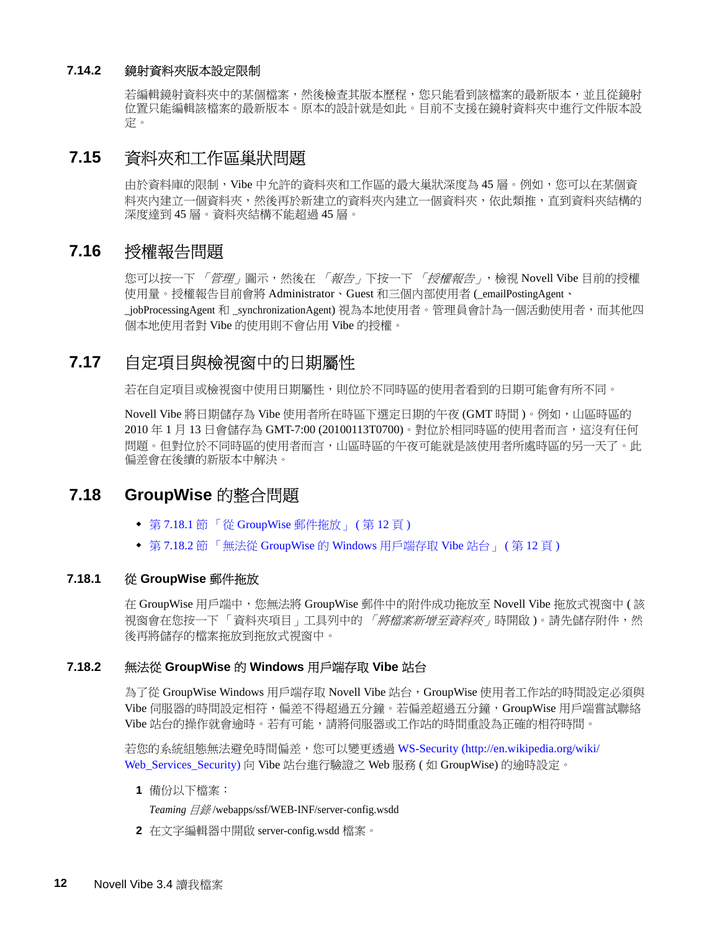#### <span id="page-11-4"></span>**7.14.2** 鏡射資料夾版本設定限制

若編輯鏡射資料夾中的某個檔案,然後檢查其版本歷程,您只能看到該檔案的最新版本,並且從鏡射 位置只能編輯該檔案的最新版本。原本的設計就是如此。目前不支援在鏡射資料夾中進行文件版本設 定。

## <span id="page-11-0"></span>**7.15** 資料夾和工作區巢狀問題

由於資料庫的限制,Vibe 中允許的資料夾和工作區的最大巢狀深度為 45 層。例如,您可以在某個資 料夾內建立一個資料夾,然後再於新建立的資料夾內建立一個資料夾,依此類推,直到資料夾結構的 深度達到 45 層。資料夾結構不能超過 45 層。

## <span id="page-11-1"></span>**7.16** 授權報告問題

您可以按一下 「*管理」*圖示,然後在 「*報告」*下按一下 「*授權報告」*,檢視 Novell Vibe 目前的授權 使用量。授權報告目前會將 Administrator、Guest 和三個內部使用者 (\_emailPostingAgent、 \_jobProcessingAgent 和 \_synchronizationAgent) 視為本地使用者。管理員會計為一個活動使用者,而其他四 個本地使用者對 Vibe 的使用則不會佔用 Vibe 的授權。

# <span id="page-11-2"></span>**7.17** 自定項目與檢視窗中的日期屬性

若在自定項目或檢視窗中使用日期屬性,則位於不同時區的使用者看到的日期可能會有所不同。

Novell Vibe 將日期儲存為 Vibe 使用者所在時區下選定日期的午夜 (GMT 時間 )。例如,山區時區的 2010 年 1 月 13 日會儲存為 GMT-7:00 (20100113T0700)。對位於相同時區的使用者而言,這沒有任何 問題。但對位於不同時區的使用者而言,山區時區的午夜可能就是該使用者所處時區的另一天了。此 偏差會在後續的新版本中解決。

# <span id="page-11-3"></span>**7.18 GroupWise** 的整合問題

- ◆ 第 7.18.1 節 「從 [GroupWise](#page-11-5) 郵件拖放」 (第 12 頁)
- ! 第 7.18.2 節 「無法從 [GroupWise](#page-11-6) 的 Windows 用戶端存取 Vibe 站台」 ( 第 12 頁 )

#### <span id="page-11-5"></span>**7.18.1** 從 **GroupWise** 郵件拖放

在 GroupWise 用戶端中,您無法將 GroupWise 郵件中的附件成功拖放至 Novell Vibe 拖放式視窗中 ( 該 視窗會在您按一下 「資料夾項目」工具列中的 *「將檔案新增至資料夾」*時開啟 )。請先儲存附件,然 後再將儲存的檔案拖放到拖放式視窗中。

#### <span id="page-11-6"></span>**7.18.2** 無法從 **GroupWise** 的 **Windows** 用戶端存取 **Vibe** 站台

為了從 GroupWise Windows 用戶端存取 Novell Vibe 站台, GroupWise 使用者工作站的時間設定必須與 Vibe 伺服器的時間設定相符,偏差不得超過五分鐘。若偏差超過五分鐘,GroupWise 用戶端嘗試聯絡 Vibe 站台的操作就會逾時。若有可能,請將伺服器或工作站的時間重設為正確的相符時間。

若您的系統組態無法避免時間偏差,您可以變更透過 [WS-Security](http://en.wikipedia.org/wiki/Web_Services_Security) (http://en.wikipedia.org/wiki/ Web\_Services\_Security) 向 Vibe 站台進行驗證之 Web 服務 ( 如 GroupWise) 的逾時設定。

**1** 備份以下檔案:

*Teaming* 目錄 /webapps/ssf/WEB-INF/server-config.wsdd

**2** 在文字編輯器中開啟 server-config.wsdd 檔案。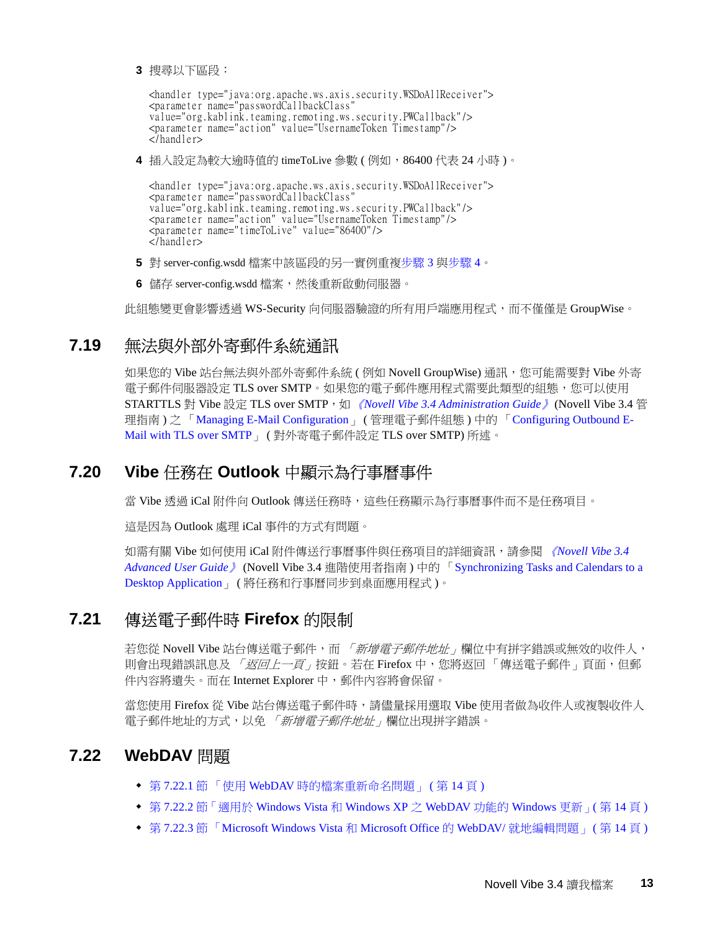<span id="page-12-4"></span>**3** 搜尋以下區段:

```
<handler type="java:org.apache.ws.axis.security.WSDoAllReceiver">
<parameter name="passwordCallbackClass"
value="org.kablink.teaming.remoting.ws.security.PWCallback"/>
<parameter name="action" value="UsernameToken Timestamp"/>
</handler>
```
<span id="page-12-5"></span>4 插入設定為較大逾時值的 timeToLive 參數 (例如, 86400代表 24 小時)。

```
<handler type="java:org.apache.ws.axis.security.WSDoAllReceiver">
<parameter name="passwordCallbackClass"
value="org.kablink.teaming.remoting.ws.security.PWCallback"/>
<parameter name="action" value="UsernameToken Timestamp"/>
<parameter name="timeToLive" value="86400"/>
</handler>
```
- **5** 對 server-config.wsdd 檔案中該區段的另一實例重[複步驟](#page-12-4) 3 與[步驟](#page-12-5) 4。
- 6 儲存 server-config.wsdd 檔案,然後重新啟動伺服器。

此組態變更會影響透過 WS-Security 向伺服器驗證的所有用戶端應用程式,而不僅僅是 GroupWise。

# <span id="page-12-0"></span>**7.19** 無法與外部外寄郵件系統通訊

如果您的 Vibe 站台無法與外部外寄郵件系統 (例如 Novell GroupWise) 通訊,您可能需要對 Vibe 外寄 電子郵件伺服器設定 TLS over SMTP。如果您的電子郵件應用程式需要此類型的組態, 您可以使用 STARTTLS 對 Vibe 設定 TLS over SMTP, 如 《*Novell Vibe 3.4 Administration Guide* 》(Novell Vibe 3.4 管 理指南 ) 之 「Managing E-Mail Configuration」 ( 管理電子郵件組態 ) 中的 「Configuring Outbound E-Mail with TLS over SMTP」 ( 對外寄電子郵件設定 TLS over SMTP) 所述。

# <span id="page-12-1"></span>**7.20 Vibe** 任務在 **Outlook** 中顯示為行事曆事件

當 Vibe 透過 iCal 附件向 Outlook 傳送任務時,這些任務顯示為行事曆事件而不是任務項目。

這是因為 Outlook 處理 iCal 事件的方式有問題。

如需有關 Vibe 如何使用 iCal 附件傳送行事曆事件與任務項目的詳細資訊,請參閱 《*Novell Vibe 3.4 Advanced User Guide*》 (Novell Vibe 3.4 進階使用者指南 ) 中的 「Synchronizing Tasks and Calendars to a Desktop Application」 ( 將任務和行事曆同步到桌面應用程式 )。

# <span id="page-12-2"></span>**7.21** 傳送電子郵件時 **Firefox** 的限制

若您從 Novell Vibe 站台傳送電子郵件,而 *「新增電子郵件地址﹔*欄位中有拼字錯誤或無效的收件人, 則會出現錯誤訊息及 *「返回上一頁」*按鈕。若在 Firefox 中,您將返回「 傳送電子郵件 <sub>」</sub>頁面,但郵 件內容將遺失。而在 Internet Explorer 中,郵件內容將會保留。

當您使用 Firefox 從 Vibe 站台傳送電子郵件時,請儘量採用選取 Vibe 使用者做為收件人或複製收件人 電子郵件地址的方式,以免 *「新增電子郵件地址」*欄位出現拼字錯誤。

## <span id="page-12-3"></span>**7.22 WebDAV** 問題

- ◆ 第 7.22.1 節 「使用 WebDAV [時的檔案重新](#page-13-0)命名問題」 (第 14 頁)
- ! 第 7.22.2 節「適用於 [Windows Vista](#page-13-1) 和 Windows XP 之 WebDAV 功能的 Windows 更新」( 第 14 頁 )
- ! 第 7.22.3 節 「[Microsoft Windows Vista](#page-13-2) 和 Microsoft Office 的 WebDAV/ 就地編輯問題」 ( 第 14 頁 )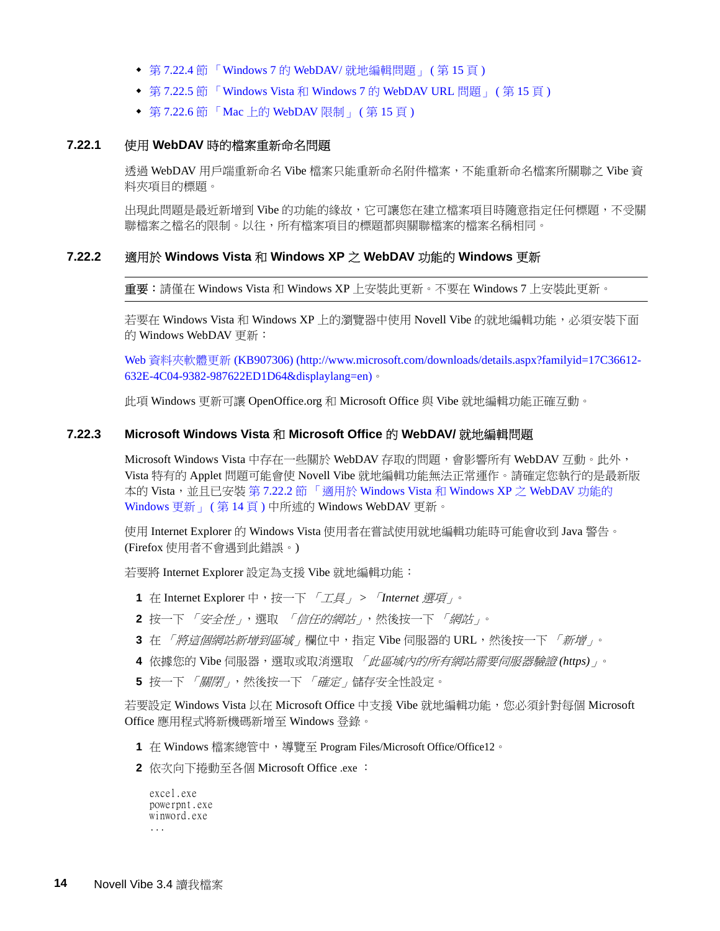- ◆ 第 7.22.4 節 「[Windows 7](#page-14-0) 的 WebDAV/ 就地編輯問題」 (第 15 頁)
- ◆ 第 7.22.5 節 「Windows Vista 和 Windows 7 的 [WebDAV URL](#page-14-1) 問題」 (第15頁)
- ◆ 第 7.22.6 節 「Mac 上的 [WebDAV](#page-14-2) 限制」 (第15頁)

#### <span id="page-13-0"></span>**7.22.1** 使用 **WebDAV** 時的檔案重新命名問題

透過 WebDAV 用戶端重新命名 Vibe 檔案只能重新命名附件檔案,不能重新命名檔案所關聯之 Vibe 資 料夾項目的標題。

出現此問題是最近新增到 Vibe 的功能的緣故,它可讓您在建立檔案項目時隨意指定任何標題,不受關 聯檔案之檔名的限制。以往,所有檔案項目的標題都與關聯檔案的檔案名稱相同。

#### <span id="page-13-1"></span>**7.22.2** 適用於 **Windows Vista** 和 **Windows XP** 之 **WebDAV** 功能的 **Windows** 更新

重要:請僅在 Windows Vista 和 Windows XP 上安裝此更新。不要在 Windows 7 上安裝此更新。

若要在 Windows Vista 和 Windows XP 上的瀏覽器中使用 Novell Vibe 的就地編輯功能,必須安裝下面 的 Windows WebDAV 更新:

Web 資料夾軟體更新 [\(KB907306\)](http://www.microsoft.com/downloads/details.aspx?familyid=17C36612-632E-4C04-9382-987622ED1D64&displaylang=en) (http://www.microsoft.com/downloads/details.aspx?familyid=17C36612-632E-4C04-9382-987622ED1D64&displaylang=en)。

此項 Windows 更新可讓 OpenOffice.org 和 Microsoft Office 與 Vibe 就地編輯功能正確互動。

#### <span id="page-13-2"></span>**7.22.3 Microsoft Windows Vista** 和 **Microsoft Office** 的 **WebDAV/** 就地編輯問題

Microsoft Windows Vista 中存在一些關於 WebDAV 存取的問題,會影響所有 WebDAV 互動。此外, Vista 特有的 Applet 問題可能會使 Novell Vibe 就地編輯功能無法正常運作。請確定您執行的是最新版 本的 Vista,选且已安裝 第 7.22.2 節 「適用於 [Windows Vista](#page-13-1) 和 Windows XP 之 WebDAV 功能的 [Windows](#page-13-1) 更新」 ( 第 14 頁 ) 中所述的 Windows WebDAV 更新。

使用 Internet Explorer 的 Windows Vista 使用者在嘗試使用就地編輯功能時可能會收到 Java 警告。 (Firefox 使用者不會遇到此錯誤。)

若要將 Internet Explorer 設定為支援 Vibe 就地編輯功能︰

- **1** 在 Internet Explorer 中,按一下 「工具」 *>* 「*Internet* 選項」。
- 2 按一下*「安全性」*,選取 「*信任的網站」*,然後按一下 「*網站」*。
- 3 在「將這個網站新增到區域」欄位中,指定 Vibe 伺服器的 URL,然後按一下「新增」。
- **4** 依據您的 Vibe 伺服器,選取或取消選取 「此區域內的所有網站需要伺服器驗證 *(https)*」。
- 5 按一下「關閉」,然後按一下「確定」儲存安全性設定。

若要設定 Windows Vista 以在 Microsoft Office 中支援 Vibe 就地編輯功能,您必須針對每個 Microsoft Office 應用程式將新機碼新增至 Windows 登錄。

- **1** 在 Windows 檔案總管中,導覽至 Program Files/Microsoft Office/Office12。
- **2** 依次向下捲動至各個 Microsoft Office .exe ︰

excel.exe powerpnt.exe winword.exe ...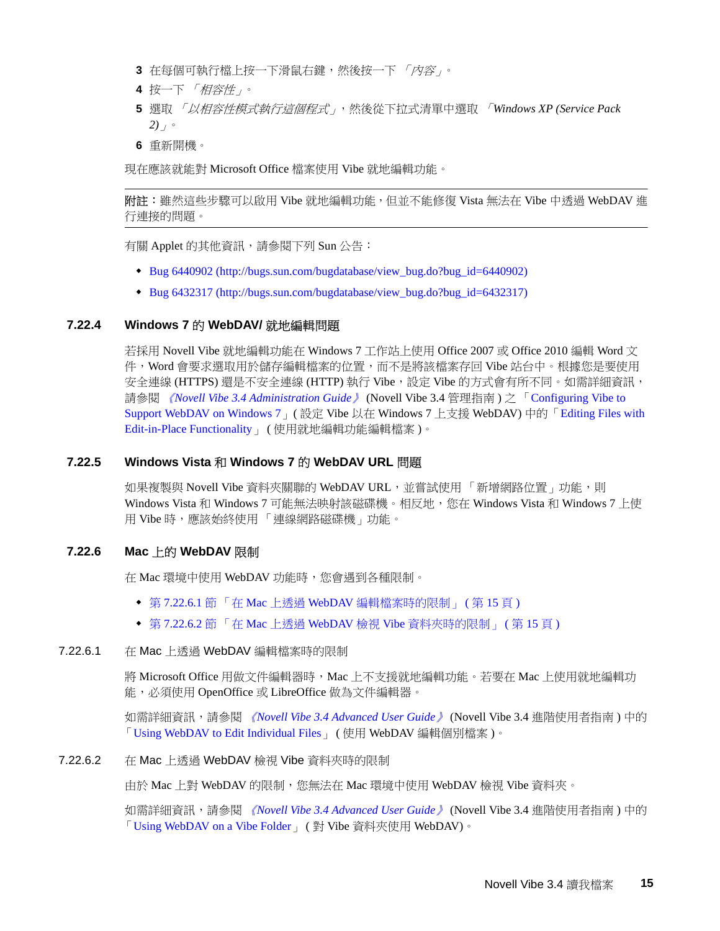- 3 在每個可執行檔上按一下滑鼠右鍵,然後按一下*「內容」*。
- **4** 按一下 「相容性」。
- **5** 選取 「以相容性模式執行這個程式」,然後從下拉式清單中選取 「*Windows XP (Service Pack 2)*」。
- **6** 重新開機。

現在應該就能對 Microsoft Office 檔案使用 Vibe 就地編輯功能。

附註:雖然這些步驟可以啟用 Vibe 就地編輯功能,但並不能修復 Vista 無法在 Vibe 中透過 WebDAV 進 行連接的問題。

有關 Applet 的其他資訊,請參閱下列 Sun 公告:

- ! [Bug 6440902](http://bugs.sun.com/bugdatabase/view_bug.do?bug_id=6440902) (http://bugs.sun.com/bugdatabase/view\_bug.do?bug\_id=6440902)
- ! [Bug 6432317](http://bugs.sun.com/bugdatabase/view_bug.do?bug_id=6432317) (http://bugs.sun.com/bugdatabase/view\_bug.do?bug\_id=6432317)

#### <span id="page-14-0"></span>**7.22.4 Windows 7** 的 **WebDAV/** 就地編輯問題

若採用 Novell Vibe 就地編輯功能在 Windows 7 工作站上使用 Office 2007 或 Office 2010 編輯 Word 文 件,Word 會要求選取用於儲存編輯檔案的位置,而不是將該檔案存回 Vibe 站台中。根據您是要使用 安全連線 (HTTPS) 還是不安全連線 (HTTP) 執行 Vibe, 設定 Vibe 的方式會有所不同。如需詳細資訊, 請參閱 《*Novell Vibe 3.4 Administration Guide*》 (Novell Vibe 3.4 管理指南 ) 之 「Configuring Vibe to Support WebDAV on Windows 7」( 設定 Vibe 以在 Windows 7 上支援 WebDAV) 中的「Editing Files with Edit-in-Place Functionality」 ( 使用就地編輯功能編輯檔案 )。

#### <span id="page-14-1"></span>**7.22.5 Windows Vista** 和 **Windows 7** 的 **WebDAV URL** 問題

如果複製與 Novell Vibe 資料夾關聯的 WebDAV URL,並嘗試使用「 新增網路位置」功能,則 Windows Vista 和 Windows 7 可能無法映射該磁碟機。相反地,您在 Windows Vista 和 Windows 7 上使 用 Vibe 時,應該始終使用「連線網路磁碟機」功能。

#### <span id="page-14-2"></span>**7.22.6 Mac** 上的 **WebDAV** 限制

在 Mac 環境中使用 WebDAV 功能時,您會遇到各種限制。

- ◆ 第 7.22.6.1 節 「 在 Mac 上诱過 WebDAV 編輯[檔案時的限](#page-14-3)制」 ( 第 15 頁 )
- ◆ 第 7.22.6.2 節 「在 Mac 上透過 [WebDAV](#page-14-4) 檢視 Vibe 資料夾時的限制 」 ( 第 15 頁 )

#### <span id="page-14-3"></span>7.22.6.1 在 Mac 上透過 WebDAV 編輯檔案時的限制

將 Microsoft Office 用做文件編輯器時,Mac 上不支援就地編輯功能。若要在 Mac 上使用就地編輯功 能,必須使用 OpenOffice 或 LibreOffice 做為文件編輯器。

如需詳細資訊,請參閱 《*Novell Vibe 3.4 Advanced User Guide*》 (Novell Vibe 3.4 進階使用者指南 ) 中的 「Using WebDAV to Edit Individual Files」 ( 使用 WebDAV 編輯個別檔案 )。

#### <span id="page-14-4"></span>7.22.6.2 在 Mac 上透過 WebDAV 檢視 Vibe 資料夾時的限制

由於 Mac 上對 WebDAV 的限制,您無法在 Mac 環境中使用 WebDAV 檢視 Vibe 資料夾。

如需詳細資訊,請參閱 《*Novell Vibe 3.4 Advanced User Guide*》 (Novell Vibe 3.4 進階使用者指南 ) 中的 「Using WebDAV on a Vibe Folder」 ( 對 Vibe 資料夾使用 WebDAV)。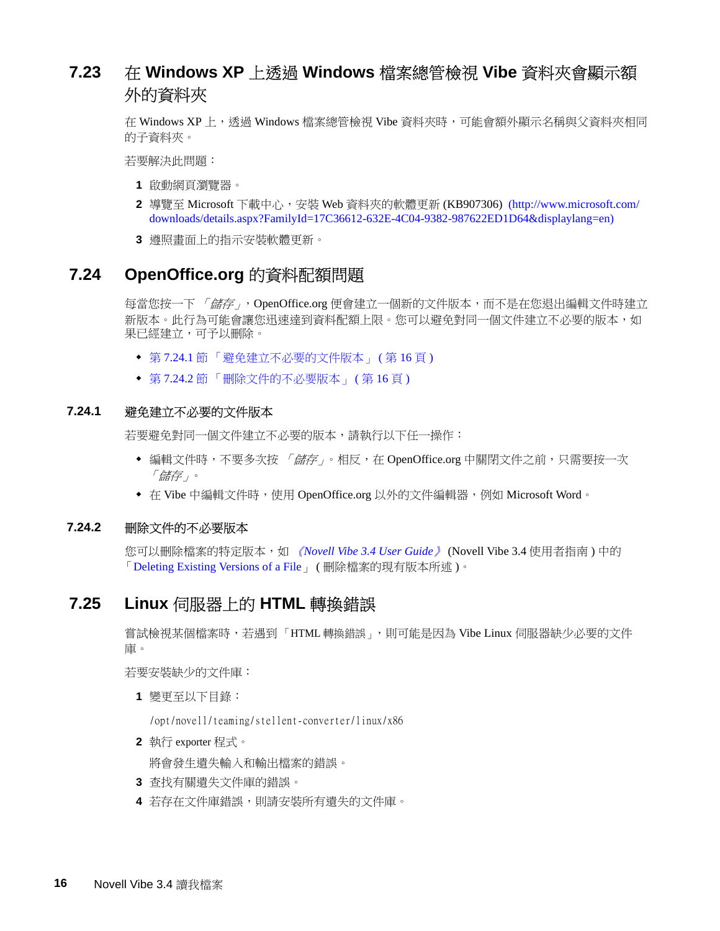# <span id="page-15-0"></span>**7.23** 在 **Windows XP** 上透過 **Windows** 檔案總管檢視 **Vibe** 資料夾會顯示額 外的資料夾

在 Windows XP 上,透過 Windows 檔案總管檢視 Vibe 資料夾時,可能會額外顯示名稱與父資料夾相同 的子資料夾。

若要解決此問題:

- **1** 啟動網頁瀏覽器。
- **2** 導覽至 Microsoft 下載中心,安裝 Web 資料夾的軟體更新 (KB907306) (http://www.microsoft.com/ downloads/details.aspx?FamilyId=17C36612-632E-4C04-9382-987622ED1D64&displaylang=en)
- **3** 遵照畫面上的指示安裝軟體更新。

# <span id="page-15-1"></span>**7.24 OpenOffice.org** 的資料配額問題

每當您按一下「*儲存」*, OpenOffice.org 便會建立一個新的文件版本, 而不是在您退出編輯文件時建立 新版本。此行為可能會讓您迅速會到資料配額上限。您可以避免對同一個文件建立不必要的版本,如 果已經建立,可予以刪除。

- ! 第 7.24.1 節 「避[免建立不](#page-15-3)必要的文件版本」 ( 第 16 頁 )
- ◆ 第 7.24.2 節 「刪除文件的不必[要版本」](#page-15-4) ( 第 16 頁 )

#### <span id="page-15-3"></span>**7.24.1** 避免建立不必要的文件版本

若要避免對同一個文件建立不必要的版本,請執行以下任一操作:

- ◆ 編輯文件時,不要多次按 「*儲存<sub>」</sub>*。相反,在 OpenOffice.org 中關閉文件之前,只需要按一次 「儲存」。
- ◆ 在 Vibe 中編輯文件時,使用 OpenOffice.org 以外的文件編輯器,例如 Microsoft Word。

#### <span id="page-15-4"></span>**7.24.2** 刪除文件的不必要版本

您可以刪除檔案的特定版本,如 《*Novell Vibe 3.4 User Guide*》 (Novell Vibe 3.4 使用者指南 ) 中的 「Deleting Existing Versions of a File」 ( 刪除檔案的現有版本所述 )。

### <span id="page-15-2"></span>**7.25 Linux** 伺服器上的 **HTML** 轉換錯誤

嘗試檢視某個檔案時,若遇到 「HTML 轉換錯誤」,則可能是因為 Vibe Linux 伺服器缺少必要的文件 庫。

若要安裝缺少的文件庫:

**1** 變更至以下目錄︰

/opt/novell/teaming/stellent-converter/linux/x86

**2** 執行 exporter 程式。

將會發生遺失輸入和輸出檔案的錯誤。

- **3** 查找有關遺失文件庫的錯誤。
- 4 若存在文件庫錯誤,則請安裝所有遺失的文件庫。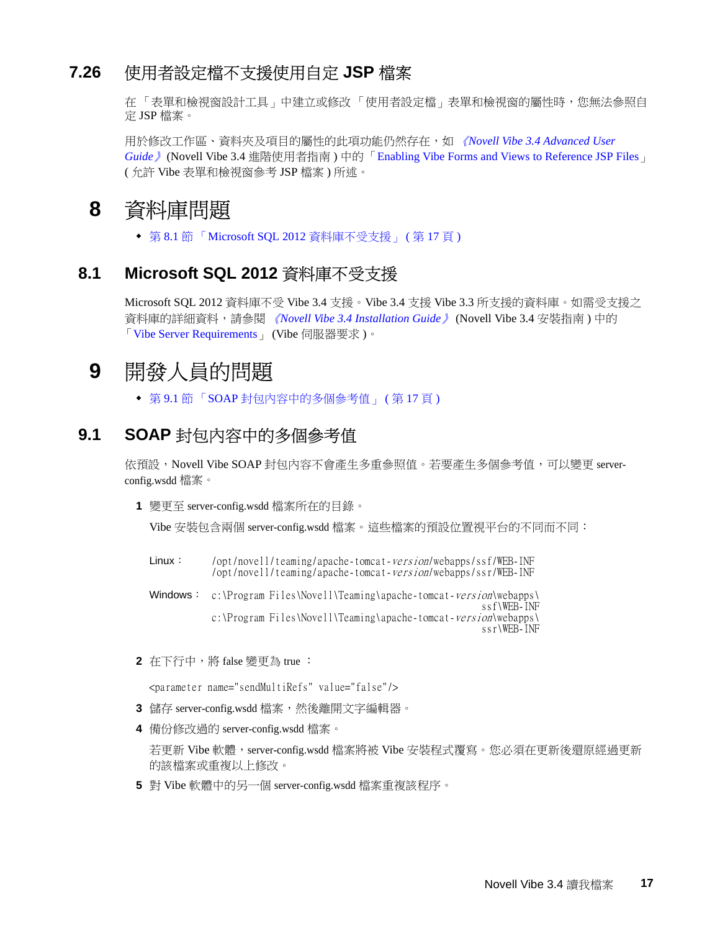# <span id="page-16-0"></span>**7.26** 使用者設定檔不支援使用自定 **JSP** 檔案

在 「表單和檢視窗設計工具 」中建立或修改 「使用者設定檔 」表單和檢視窗的屬性時,您無法參照自 定 JSP 檔案。

用於修改工作區、資料夾及項目的屬性的此項功能仍然存在,如 《*Novell Vibe 3.4 Advanced User Guide*》(Novell Vibe 3.4 進階使用者指南 ) 中的「Enabling Vibe Forms and Views to Reference JSP Files」 ( 允許 Vibe 表單和檢視窗參考 JSP 檔案 ) 所述。

# **8** 資料庫問題

◆ 第 8.1 節 「[Microsoft SQL 2012](#page-16-1) 資料庫不受支援」 (第 17 頁)

## <span id="page-16-1"></span>**8.1 Microsoft SQL 2012** 資料庫不受支援

Microsoft SQL 2012 資料庫不受 Vibe 3.4 支援。Vibe 3.4 支援 Vibe 3.3 所支援的資料庫。如需受支援之 資料庫的詳細資料,請參閱 《*Novell Vibe 3.4 Installation Guide*》 (Novell Vibe 3.4 安裝指南 ) 中的 「Vibe Server Requirements」 (Vibe 伺服器要求 )。

# **9** 開發人員的問題

! 第 9.1 節 「SOAP 封[包內容中的](#page-16-2)多個參考值」 ( 第 17 頁 )

# <span id="page-16-2"></span>**9.1 SOAP** 封包內容中的多個參考值

依預設,Novell Vibe SOAP 封包內容不會產生多重參照值。若要產生多個參考值,可以變更 serverconfig.wsdd 檔案。

**1** 變更至 server-config.wsdd 檔案所在的目錄。

Vibe 安裝包含兩個 server-config.wsdd 檔案。這些檔案的預設位置視平台的不同而不同:

- Linux: /opt/novell/teaming/apache-tomcat-version/webapps/ssf/WEB-INF /opt/novell/teaming/apache-tomcat-version/webapps/ssr/WEB-INF
- Windows: c:\Program Files\Novell\Teaming\apache-tomcat-version\webapps\ ssf\WEB-INF c:\Program Files\Novell\Teaming\apache-tomcat-version\webapps\ ssr\WEB-INF
- **2** 在下行中,將 false 變更為 true ︰

<parameter name="sendMultiRefs" value="false"/>

- 3 儲存 server-config.wsdd 檔案,然後離開文字編輯器。
- **4** 備份修改過的 server-config.wsdd 檔案。

若更新 Vibe 軟體, server-config.wsdd 檔案將被 Vibe 安裝程式覆寫。您必須在更新後還原經過更新 的該檔案或重複以上修改。

**5** 對 Vibe 軟體中的另一個 server-config.wsdd 檔案重複該程序。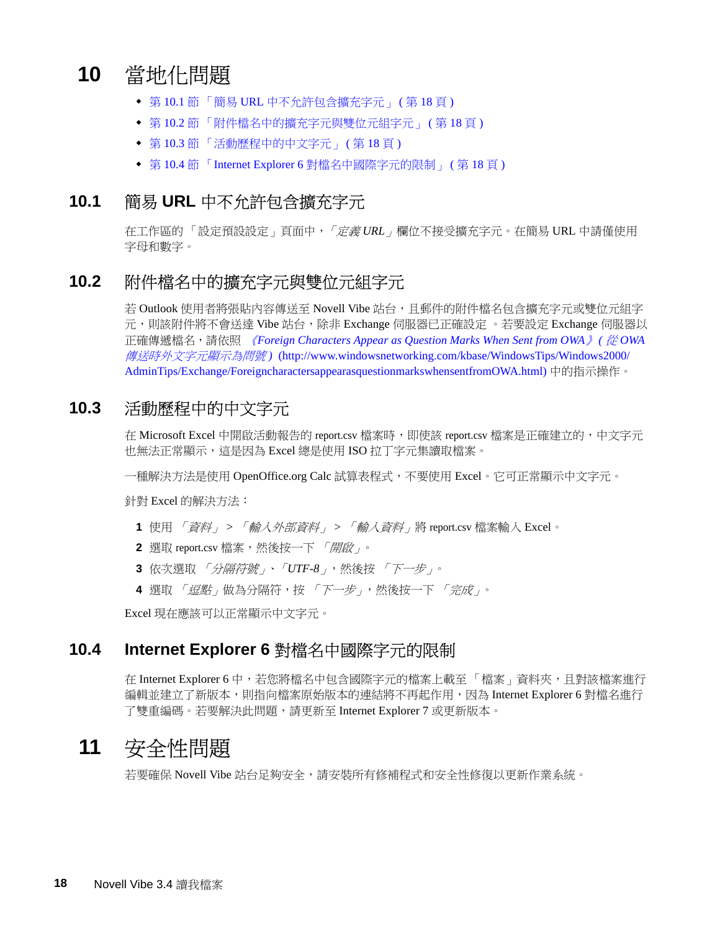# **10** 當地化問題

- ! 第 10.1 節 「簡易 URL [中不允許包含](#page-17-0)擴充字元」 ( 第 18 頁 )
- ! 第 10.2 節 「附件檔名中的[擴充字元](#page-17-1)與雙位元組字元」 ( 第 18 頁 )
- ! 第 10.3 節 「活動歷[程中的中](#page-17-2)文字元」 ( 第 18 頁 )
- ! 第 10.4 節 「[Internet Explorer 6](#page-17-3) 對檔名中國際字元的限制」 ( 第 18 頁 )

## <span id="page-17-0"></span>**10.1** 簡易 **URL** 中不允許包含擴充字元

在工作區的 「設定預設設定」頁面中,「定義 *URL*」欄位不接受擴充字元。在簡易 URL 中請僅使用 字母和數字。

## <span id="page-17-1"></span>**10.2** 附件檔名中的擴充字元與雙位元組字元

若 Outlook 使用者將張貼內容傳送至 Novell Vibe 站台,且郵件的附件檔名包含擴充字元或雙位元組字 元,則該附件將不會送達 Vibe 站台,除非 Exchange 伺服器已正確設定 。若要設定 Exchange 伺服器以 正確傳遞檔名,請依照 《*[Foreign Characters Appear as Question Marks When Sent from OWA](http://www.windowsnetworking.com/kbase/WindowsTips/Windows2000/AdminTips/Exchange/ForeigncharactersappearasquestionmarkswhensentfromOWA.html)*》*(* 從 *OWA*  傳送時外[文字元顯](http://www.windowsnetworking.com/kbase/WindowsTips/Windows2000/AdminTips/Exchange/ForeigncharactersappearasquestionmarkswhensentfromOWA.html)示為問號 *)* (http://www.windowsnetworking.com/kbase/WindowsTips/Windows2000/ AdminTips/Exchange/ForeigncharactersappearasquestionmarkswhensentfromOWA.html) 中的指示操作。

# <span id="page-17-2"></span>**10.3** 活動歷程中的中文字元

在 Microsoft Excel 中開啟活動報告的 report.csv 檔案時, 即使該 report.csv 檔案是正確建立的, 中文字元 也無法正常顯示,這是因為 Excel 總是使用 ISO 拉丁字元集讀取檔案。

一種解決方法是使用 OpenOffice.org Calc 試算表程式,不要使用 Excel。它可正常顯示中文字元。

針對 Excel 的解決方法:

- **1** 使用 「資料」 *>* 「輸入外部資料」 *>* 「輸入資料」將 report.csv 檔案輸入 Excel。
- 2 選取 report.csv 檔案,然後按一下「*開啟」*。
- 3 依次選取 「分隔符號」、「UTF-8」,然後按 「下一步」。
- **4** 選取 「逗點」做為分隔符,按 「下一步」,然後按一下 「完成」。

Excel 現在應該可以正常顯示中文字元。

## <span id="page-17-3"></span>**10.4 Internet Explorer 6** 對檔名中國際字元的限制

在 Internet Explorer 6 中,若您將檔名中包含國際字元的檔案上載至「檔案」資料夾,且對該檔案進行 編輯並建立了新版本,則指向檔案原始版本的連結將不再起作用,因為 Internet Explorer 6 對檔名進行 了雙重編碼。若要解決此問題,請更新至 Internet Explorer 7 或更新版本。

# **11** 安全性問題

若要確保 Novell Vibe 站台足夠安全,請安裝所有修補程式和安全性修復以更新作業系統。